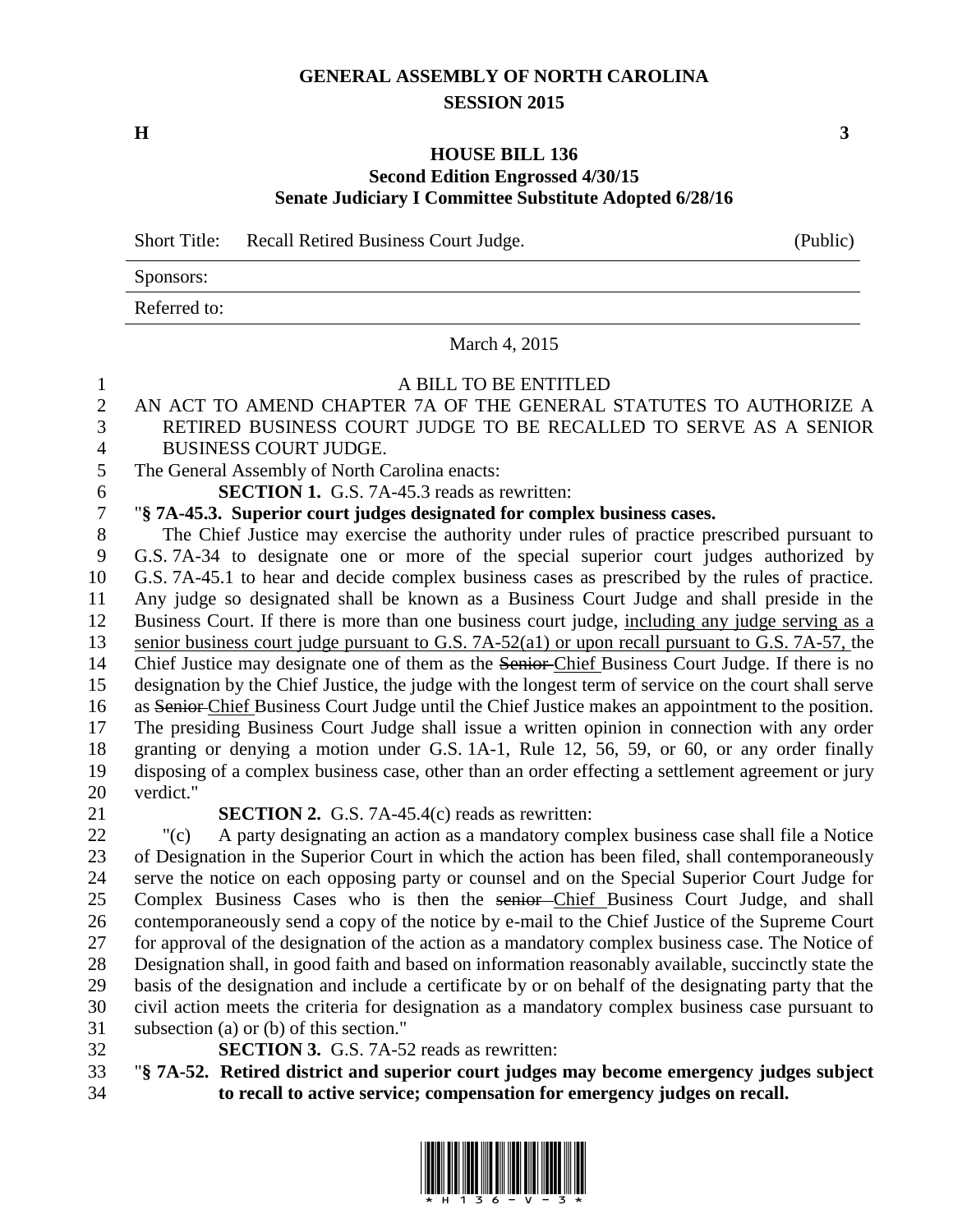### **GENERAL ASSEMBLY OF NORTH CAROLINA SESSION 2015**

**H 3**

#### **HOUSE BILL 136 Second Edition Engrossed 4/30/15 Senate Judiciary I Committee Substitute Adopted 6/28/16**

Short Title: Recall Retired Business Court Judge. (Public)

Sponsors: Referred to:

March 4, 2015

# A BILL TO BE ENTITLED

# AN ACT TO AMEND CHAPTER 7A OF THE GENERAL STATUTES TO AUTHORIZE A RETIRED BUSINESS COURT JUDGE TO BE RECALLED TO SERVE AS A SENIOR

BUSINESS COURT JUDGE.

The General Assembly of North Carolina enacts:

**SECTION 1.** G.S. 7A-45.3 reads as rewritten:

### "**§ 7A-45.3. Superior court judges designated for complex business cases.**

 The Chief Justice may exercise the authority under rules of practice prescribed pursuant to G.S. 7A-34 to designate one or more of the special superior court judges authorized by G.S. 7A-45.1 to hear and decide complex business cases as prescribed by the rules of practice. Any judge so designated shall be known as a Business Court Judge and shall preside in the Business Court. If there is more than one business court judge, including any judge serving as a senior business court judge pursuant to G.S. 7A-52(a1) or upon recall pursuant to G.S. 7A-57, the Chief Justice may designate one of them as the Senior Chief Business Court Judge. If there is no designation by the Chief Justice, the judge with the longest term of service on the court shall serve as Senior Chief Business Court Judge until the Chief Justice makes an appointment to the position. The presiding Business Court Judge shall issue a written opinion in connection with any order granting or denying a motion under G.S. 1A-1, Rule 12, 56, 59, or 60, or any order finally disposing of a complex business case, other than an order effecting a settlement agreement or jury verdict."

#### **SECTION 2.** G.S. 7A-45.4(c) reads as rewritten:

 "(c) A party designating an action as a mandatory complex business case shall file a Notice of Designation in the Superior Court in which the action has been filed, shall contemporaneously serve the notice on each opposing party or counsel and on the Special Superior Court Judge for Complex Business Cases who is then the senior Chief Business Court Judge, and shall contemporaneously send a copy of the notice by e-mail to the Chief Justice of the Supreme Court for approval of the designation of the action as a mandatory complex business case. The Notice of Designation shall, in good faith and based on information reasonably available, succinctly state the basis of the designation and include a certificate by or on behalf of the designating party that the civil action meets the criteria for designation as a mandatory complex business case pursuant to subsection (a) or (b) of this section."

- **SECTION 3.** G.S. 7A-52 reads as rewritten:
- "**§ 7A-52. Retired district and superior court judges may become emergency judges subject to recall to active service; compensation for emergency judges on recall.**

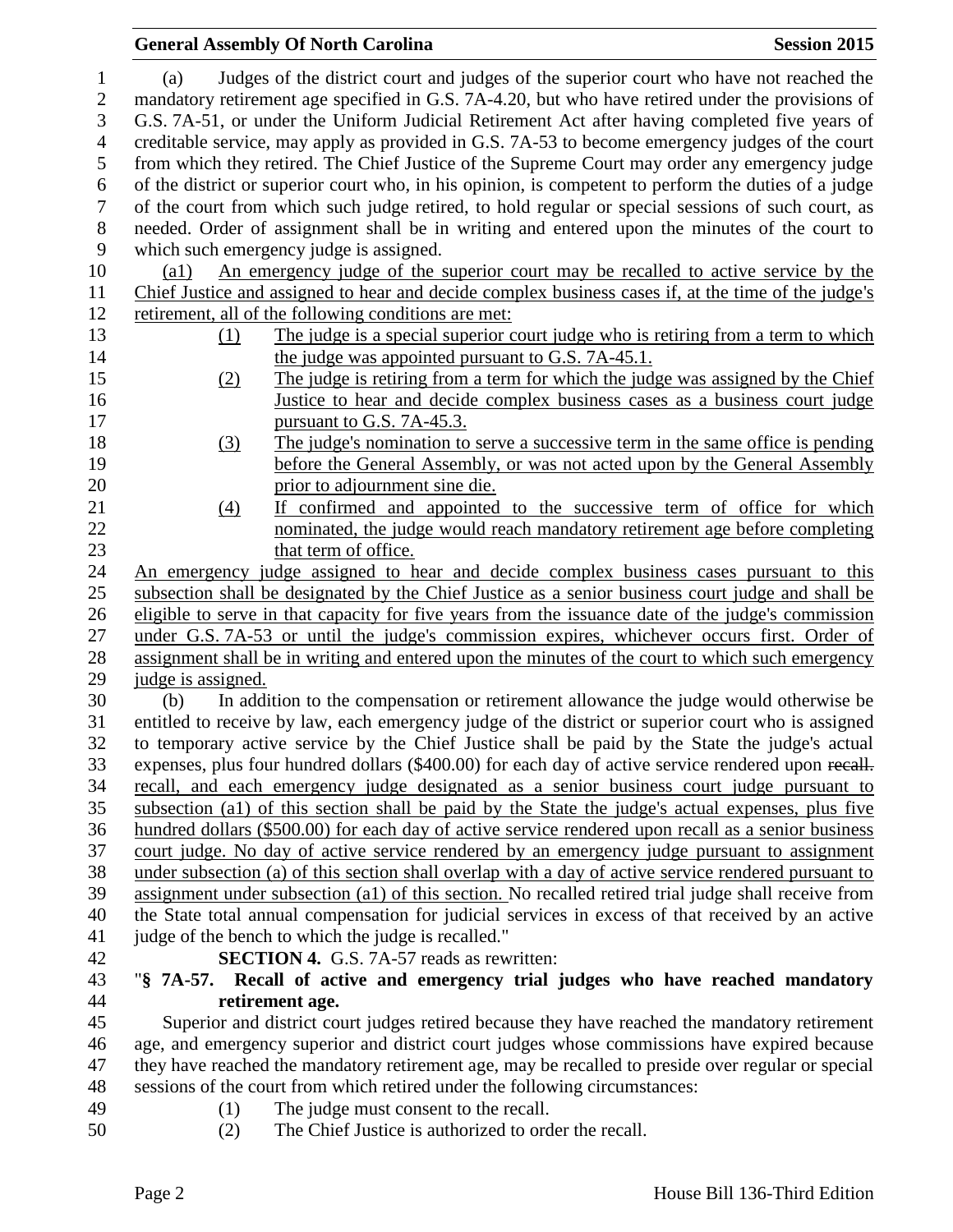|                                                                    | <b>General Assembly Of North Carolina</b><br><b>Session 2015</b>                                                                                                                                                                                                                                                                                                                                      |  |  |  |
|--------------------------------------------------------------------|-------------------------------------------------------------------------------------------------------------------------------------------------------------------------------------------------------------------------------------------------------------------------------------------------------------------------------------------------------------------------------------------------------|--|--|--|
| $\mathbf{1}$<br>$\mathfrak{2}$<br>$\mathfrak{Z}$<br>$\overline{4}$ | Judges of the district court and judges of the superior court who have not reached the<br>(a)<br>mandatory retirement age specified in G.S. 7A-4.20, but who have retired under the provisions of<br>G.S. 7A-51, or under the Uniform Judicial Retirement Act after having completed five years of<br>creditable service, may apply as provided in G.S. 7A-53 to become emergency judges of the court |  |  |  |
| 5                                                                  | from which they retired. The Chief Justice of the Supreme Court may order any emergency judge                                                                                                                                                                                                                                                                                                         |  |  |  |
| 6                                                                  | of the district or superior court who, in his opinion, is competent to perform the duties of a judge                                                                                                                                                                                                                                                                                                  |  |  |  |
| $\boldsymbol{7}$                                                   | of the court from which such judge retired, to hold regular or special sessions of such court, as                                                                                                                                                                                                                                                                                                     |  |  |  |
| 8                                                                  | needed. Order of assignment shall be in writing and entered upon the minutes of the court to                                                                                                                                                                                                                                                                                                          |  |  |  |
| 9                                                                  | which such emergency judge is assigned.                                                                                                                                                                                                                                                                                                                                                               |  |  |  |
| 10                                                                 | An emergency judge of the superior court may be recalled to active service by the<br>$\left( \text{a1}\right)$                                                                                                                                                                                                                                                                                        |  |  |  |
| 11                                                                 | Chief Justice and assigned to hear and decide complex business cases if, at the time of the judge's                                                                                                                                                                                                                                                                                                   |  |  |  |
| 12                                                                 | retirement, all of the following conditions are met:                                                                                                                                                                                                                                                                                                                                                  |  |  |  |
| 13                                                                 | The judge is a special superior court judge who is retiring from a term to which<br>(1)                                                                                                                                                                                                                                                                                                               |  |  |  |
| 14                                                                 | the judge was appointed pursuant to G.S. 7A-45.1.                                                                                                                                                                                                                                                                                                                                                     |  |  |  |
| 15                                                                 | The judge is retiring from a term for which the judge was assigned by the Chief<br>(2)                                                                                                                                                                                                                                                                                                                |  |  |  |
| 16                                                                 | Justice to hear and decide complex business cases as a business court judge                                                                                                                                                                                                                                                                                                                           |  |  |  |
| 17                                                                 | pursuant to G.S. 7A-45.3.                                                                                                                                                                                                                                                                                                                                                                             |  |  |  |
| 18                                                                 | The judge's nomination to serve a successive term in the same office is pending<br>(3)                                                                                                                                                                                                                                                                                                                |  |  |  |
| 19<br>20                                                           | before the General Assembly, or was not acted upon by the General Assembly                                                                                                                                                                                                                                                                                                                            |  |  |  |
| 21                                                                 | prior to adjournment sine die.<br>If confirmed and appointed to the successive term of office for which<br>(4)                                                                                                                                                                                                                                                                                        |  |  |  |
| 22                                                                 | nominated, the judge would reach mandatory retirement age before completing                                                                                                                                                                                                                                                                                                                           |  |  |  |
| 23                                                                 | that term of office.                                                                                                                                                                                                                                                                                                                                                                                  |  |  |  |
| 24                                                                 | An emergency judge assigned to hear and decide complex business cases pursuant to this                                                                                                                                                                                                                                                                                                                |  |  |  |
| 25                                                                 | subsection shall be designated by the Chief Justice as a senior business court judge and shall be                                                                                                                                                                                                                                                                                                     |  |  |  |
| 26                                                                 | eligible to serve in that capacity for five years from the issuance date of the judge's commission                                                                                                                                                                                                                                                                                                    |  |  |  |
| 27                                                                 | under G.S. 7A-53 or until the judge's commission expires, whichever occurs first. Order of                                                                                                                                                                                                                                                                                                            |  |  |  |
| 28                                                                 | assignment shall be in writing and entered upon the minutes of the court to which such emergency                                                                                                                                                                                                                                                                                                      |  |  |  |
| 29                                                                 | judge is assigned.                                                                                                                                                                                                                                                                                                                                                                                    |  |  |  |
| 30                                                                 | In addition to the compensation or retirement allowance the judge would otherwise be<br>(b)                                                                                                                                                                                                                                                                                                           |  |  |  |
| 31                                                                 | entitled to receive by law, each emergency judge of the district or superior court who is assigned                                                                                                                                                                                                                                                                                                    |  |  |  |
| 32                                                                 | to temporary active service by the Chief Justice shall be paid by the State the judge's actual                                                                                                                                                                                                                                                                                                        |  |  |  |
| 33                                                                 | expenses, plus four hundred dollars (\$400.00) for each day of active service rendered upon recall.                                                                                                                                                                                                                                                                                                   |  |  |  |
| 34                                                                 | recall, and each emergency judge designated as a senior business court judge pursuant to                                                                                                                                                                                                                                                                                                              |  |  |  |
| 35                                                                 | subsection (a1) of this section shall be paid by the State the judge's actual expenses, plus five                                                                                                                                                                                                                                                                                                     |  |  |  |
| 36                                                                 | hundred dollars (\$500.00) for each day of active service rendered upon recall as a senior business                                                                                                                                                                                                                                                                                                   |  |  |  |
| 37                                                                 | court judge. No day of active service rendered by an emergency judge pursuant to assignment                                                                                                                                                                                                                                                                                                           |  |  |  |
| 38                                                                 | under subsection (a) of this section shall overlap with a day of active service rendered pursuant to                                                                                                                                                                                                                                                                                                  |  |  |  |
| 39                                                                 | assignment under subsection (a1) of this section. No recalled retired trial judge shall receive from                                                                                                                                                                                                                                                                                                  |  |  |  |
| 40                                                                 | the State total annual compensation for judicial services in excess of that received by an active                                                                                                                                                                                                                                                                                                     |  |  |  |
| 41                                                                 | judge of the bench to which the judge is recalled."<br><b>SECTION 4.</b> G.S. 7A-57 reads as rewritten:                                                                                                                                                                                                                                                                                               |  |  |  |
| 42<br>43                                                           | "§ 7A-57. Recall of active and emergency trial judges who have reached mandatory                                                                                                                                                                                                                                                                                                                      |  |  |  |
| 44                                                                 | retirement age.                                                                                                                                                                                                                                                                                                                                                                                       |  |  |  |
| 45                                                                 | Superior and district court judges retired because they have reached the mandatory retirement                                                                                                                                                                                                                                                                                                         |  |  |  |
| 46                                                                 | age, and emergency superior and district court judges whose commissions have expired because                                                                                                                                                                                                                                                                                                          |  |  |  |
| 47                                                                 | they have reached the mandatory retirement age, may be recalled to preside over regular or special                                                                                                                                                                                                                                                                                                    |  |  |  |
| 48                                                                 | sessions of the court from which retired under the following circumstances:                                                                                                                                                                                                                                                                                                                           |  |  |  |
| 49                                                                 | The judge must consent to the recall.<br>(1)                                                                                                                                                                                                                                                                                                                                                          |  |  |  |
| 50                                                                 | The Chief Justice is authorized to order the recall.<br>(2)                                                                                                                                                                                                                                                                                                                                           |  |  |  |
|                                                                    |                                                                                                                                                                                                                                                                                                                                                                                                       |  |  |  |